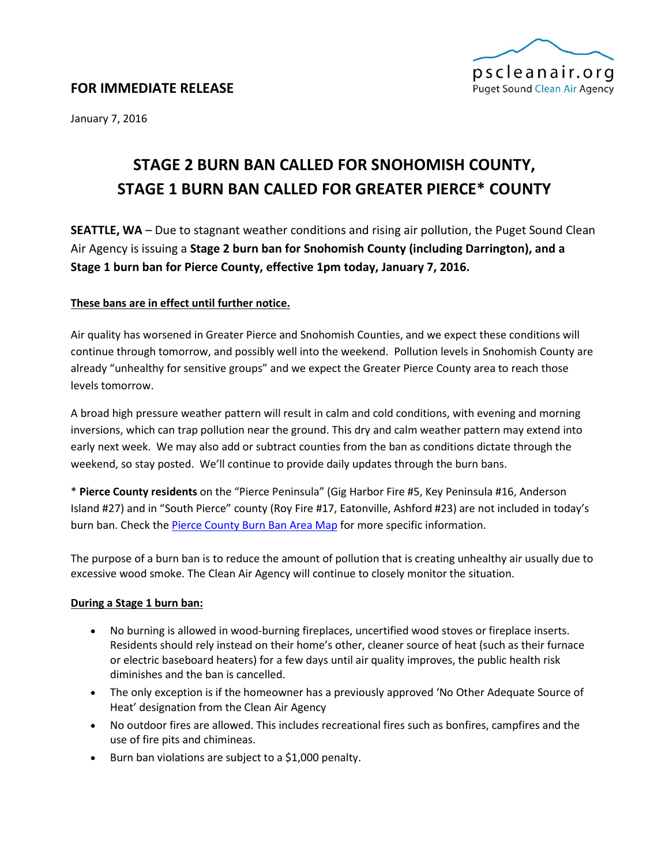

January 7, 2016

# **STAGE 2 BURN BAN CALLED FOR SNOHOMISH COUNTY, STAGE 1 BURN BAN CALLED FOR GREATER PIERCE\* COUNTY**

**SEATTLE, WA** – Due to stagnant weather conditions and rising air pollution, the Puget Sound Clean Air Agency is issuing a **Stage 2 burn ban for Snohomish County (including Darrington), and a Stage 1 burn ban for Pierce County, effective 1pm today, January 7, 2016.**

# **These bans are in effect until further notice.**

Air quality has worsened in Greater Pierce and Snohomish Counties, and we expect these conditions will continue through tomorrow, and possibly well into the weekend. Pollution levels in Snohomish County are already "unhealthy for sensitive groups" and we expect the Greater Pierce County area to reach those levels tomorrow.

A broad high pressure weather pattern will result in calm and cold conditions, with evening and morning inversions, which can trap pollution near the ground. This dry and calm weather pattern may extend into early next week. We may also add or subtract counties from the ban as conditions dictate through the weekend, so stay posted. We'll continue to provide daily updates through the burn bans.

\* **Pierce County residents** on the "Pierce Peninsula" (Gig Harbor Fire #5, Key Peninsula #16, Anderson Island #27) and in "South Pierce" county (Roy Fire #17, Eatonville, Ashford #23) are not included in today's burn ban. Check the [Pierce County Burn Ban Area Map](https://www.google.com/maps/d/viewer?mid=zmvqFrfm-cro.kweEx2mXIOyE) for more specific information.

The purpose of a burn ban is to reduce the amount of pollution that is creating unhealthy air usually due to excessive wood smoke. The Clean Air Agency will continue to closely monitor the situation.

# **During a Stage 1 burn ban:**

- No burning is allowed in wood-burning fireplaces, uncertified wood stoves or fireplace inserts. Residents should rely instead on their home's other, cleaner source of heat (such as their furnace or electric baseboard heaters) for a few days until air quality improves, the public health risk diminishes and the ban is cancelled.
- The only exception is if the homeowner has a previously approved 'No Other Adequate Source of Heat' designation from the Clean Air Agency
- No outdoor fires are allowed. This includes recreational fires such as bonfires, campfires and the use of fire pits and chimineas.
- Burn ban violations are subject to a \$1,000 penalty.